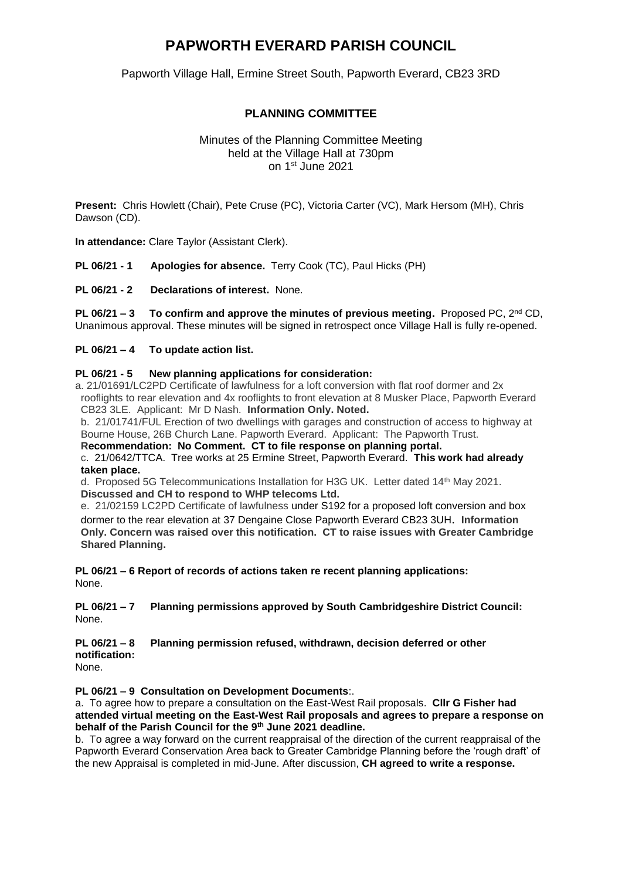## **PAPWORTH EVERARD PARISH COUNCIL**

Papworth Village Hall, Ermine Street South, Papworth Everard, CB23 3RD

### **PLANNING COMMITTEE**

Minutes of the Planning Committee Meeting held at the Village Hall at 730pm on 1 st June 2021

**Present:** Chris Howlett (Chair), Pete Cruse (PC), Victoria Carter (VC), Mark Hersom (MH), Chris Dawson (CD).

**In attendance:** Clare Taylor (Assistant Clerk).

**PL 06/21 - 1 Apologies for absence.** Terry Cook (TC), Paul Hicks (PH)

**PL 06/21 - 2 Declarations of interest.** None.

**PL 06/21 – 3 To confirm and approve the minutes of previous meeting.** Proposed PC, 2nd CD, Unanimous approval. These minutes will be signed in retrospect once Village Hall is fully re-opened.

**PL 06/21 – 4 To update action list.**

#### **PL 06/21 - 5 New planning applications for consideration:**

a. 21/01691/LC2PD Certificate of lawfulness for a loft conversion with flat roof dormer and 2x rooflights to rear elevation and 4x rooflights to front elevation at 8 Musker Place, Papworth Everard CB23 3LE. Applicant: Mr D Nash. **Information Only. Noted.**

b. 21/01741/FUL Erection of two dwellings with garages and construction of access to highway at Bourne House, 26B Church Lane. Papworth Everard. Applicant: The Papworth Trust.

**Recommendation: No Comment. CT to file response on planning portal.** c. 21/0642/TTCA. Tree works at 25 Ermine Street, Papworth Everard. **This work had already taken place.**

d. Proposed 5G Telecommunications Installation for H3G UK. Letter dated 14th May 2021. **Discussed and CH to respond to WHP telecoms Ltd.** 

e. 21/02159 LC2PD Certificate of lawfulness under S192 for a proposed loft conversion and box dormer to the rear elevation at 37 Dengaine Close Papworth Everard CB23 3UH. **Information Only. Concern was raised over this notification. CT to raise issues with Greater Cambridge Shared Planning.**

**PL 06/21 – 6 Report of records of actions taken re recent planning applications:** None.

**PL 06/21 – 7 Planning permissions approved by South Cambridgeshire District Council:**  None.

**PL 06/21 – 8 Planning permission refused, withdrawn, decision deferred or other notification:**

None.

**PL 06/21 – 9 Consultation on Development Documents**:.

a. To agree how to prepare a consultation on the East-West Rail proposals. **Cllr G Fisher had attended virtual meeting on the East-West Rail proposals and agrees to prepare a response on behalf of the Parish Council for the 9th June 2021 deadline.**

b. To agree a way forward on the current reappraisal of the direction of the current reappraisal of the Papworth Everard Conservation Area back to Greater Cambridge Planning before the 'rough draft' of the new Appraisal is completed in mid-June. After discussion, **CH agreed to write a response.**